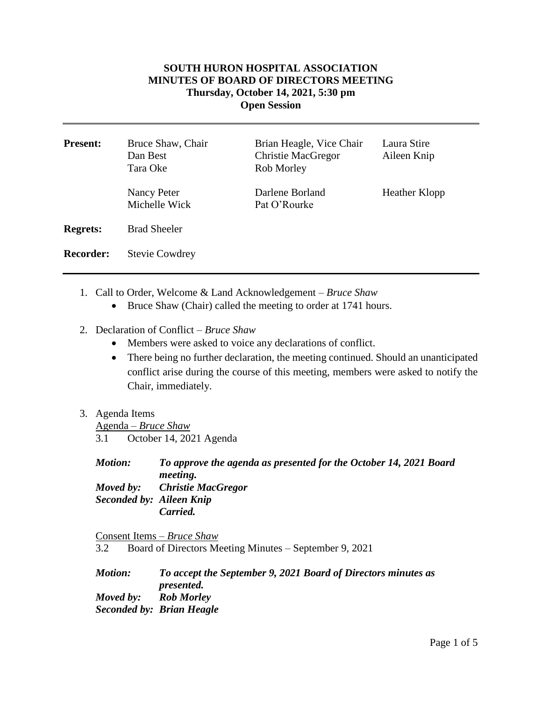## **SOUTH HURON HOSPITAL ASSOCIATION MINUTES OF BOARD OF DIRECTORS MEETING Thursday, October 14, 2021, 5:30 pm Open Session**

| <b>Present:</b>  | Bruce Shaw, Chair<br>Dan Best<br>Tara Oke | Brian Heagle, Vice Chair<br><b>Christie MacGregor</b><br>Rob Morley | Laura Stire<br>Aileen Knip |
|------------------|-------------------------------------------|---------------------------------------------------------------------|----------------------------|
|                  | Nancy Peter<br>Michelle Wick              | Darlene Borland<br>Pat O'Rourke                                     | <b>Heather Klopp</b>       |
| <b>Regrets:</b>  | <b>Brad Sheeler</b>                       |                                                                     |                            |
| <b>Recorder:</b> | <b>Stevie Cowdrey</b>                     |                                                                     |                            |

- 1. Call to Order, Welcome & Land Acknowledgement *Bruce Shaw*
	- Bruce Shaw (Chair) called the meeting to order at 1741 hours.
- 2. Declaration of Conflict *– Bruce Shaw*
	- Members were asked to voice any declarations of conflict.
	- There being no further declaration, the meeting continued. Should an unanticipated conflict arise during the course of this meeting, members were asked to notify the Chair, immediately.
- 3. Agenda Items

Agenda – *Bruce Shaw* 3.1 October 14, 2021 Agenda

*Motion: To approve the agenda as presented for the October 14, 2021 Board meeting. Moved by: Christie MacGregor Seconded by: Aileen Knip Carried.* 

Consent Items – *Bruce Shaw* 3.2 Board of Directors Meeting Minutes – September 9, 2021

*Motion: To accept the September 9, 2021 Board of Directors minutes as presented. Moved by: Rob Morley Seconded by: Brian Heagle*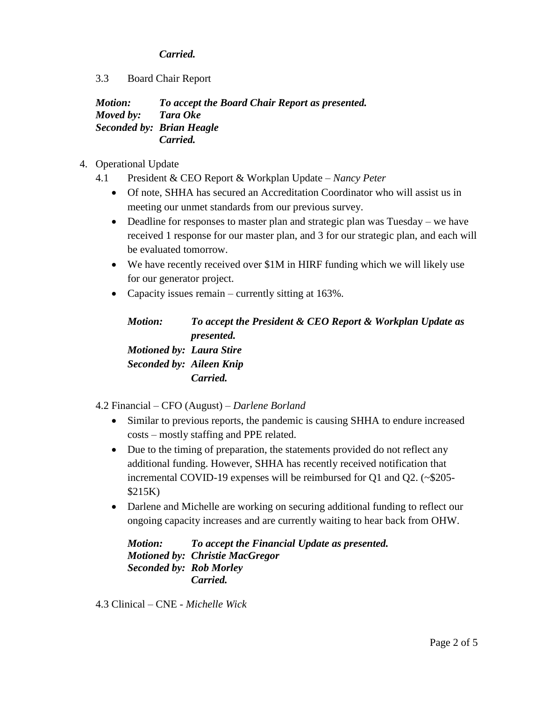## *Carried.*

3.3 Board Chair Report

*Motion: To accept the Board Chair Report as presented. Moved by: Tara Oke Seconded by: Brian Heagle Carried.*

- 4. Operational Update
	- 4.1 President & CEO Report & Workplan Update *Nancy Peter*
		- Of note, SHHA has secured an Accreditation Coordinator who will assist us in meeting our unmet standards from our previous survey.
		- Deadline for responses to master plan and strategic plan was Tuesday we have received 1 response for our master plan, and 3 for our strategic plan, and each will be evaluated tomorrow.
		- We have recently received over \$1M in HIRF funding which we will likely use for our generator project.
		- Capacity issues remain currently sitting at 163%.

*Motion: To accept the President & CEO Report & Workplan Update as presented. Motioned by: Laura Stire Seconded by: Aileen Knip Carried.*

4.2 Financial – CFO (August) – *Darlene Borland*

- Similar to previous reports, the pandemic is causing SHHA to endure increased costs – mostly staffing and PPE related.
- Due to the timing of preparation, the statements provided do not reflect any additional funding. However, SHHA has recently received notification that incremental COVID-19 expenses will be reimbursed for Q1 and Q2. (~\$205- \$215K)
- Darlene and Michelle are working on securing additional funding to reflect our ongoing capacity increases and are currently waiting to hear back from OHW.

*Motion: To accept the Financial Update as presented. Motioned by: Christie MacGregor Seconded by: Rob Morley Carried.*

4.3 Clinical – CNE - *Michelle Wick*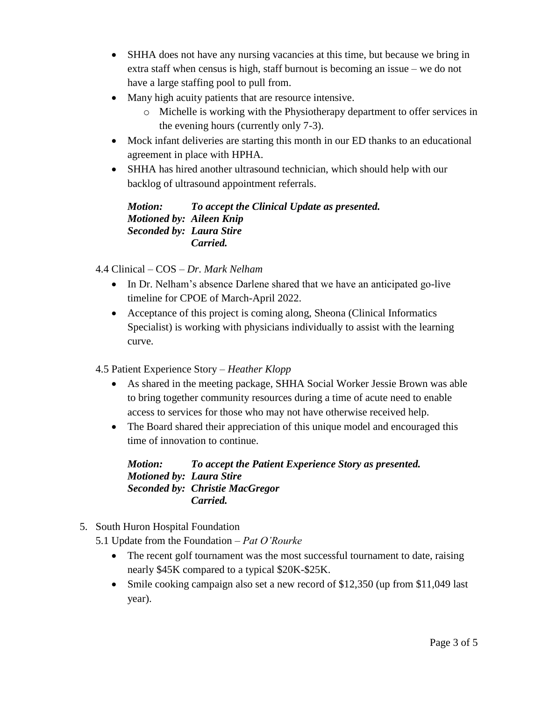- SHHA does not have any nursing vacancies at this time, but because we bring in extra staff when census is high, staff burnout is becoming an issue – we do not have a large staffing pool to pull from.
- Many high acuity patients that are resource intensive.
	- o Michelle is working with the Physiotherapy department to offer services in the evening hours (currently only 7-3).
- Mock infant deliveries are starting this month in our ED thanks to an educational agreement in place with HPHA.
- SHHA has hired another ultrasound technician, which should help with our backlog of ultrasound appointment referrals.

*Motion: To accept the Clinical Update as presented. Motioned by: Aileen Knip Seconded by: Laura Stire Carried.*

- 4.4 Clinical COS *Dr. Mark Nelham*
	- In Dr. Nelham's absence Darlene shared that we have an anticipated go-live timeline for CPOE of March-April 2022.
	- Acceptance of this project is coming along, Sheona (Clinical Informatics Specialist) is working with physicians individually to assist with the learning curve.
- 4.5 Patient Experience Story *Heather Klopp*
	- As shared in the meeting package, SHHA Social Worker Jessie Brown was able to bring together community resources during a time of acute need to enable access to services for those who may not have otherwise received help.
	- The Board shared their appreciation of this unique model and encouraged this time of innovation to continue.

*Motion: To accept the Patient Experience Story as presented. Motioned by: Laura Stire Seconded by: Christie MacGregor Carried.*

- 5. South Huron Hospital Foundation
	- 5.1 Update from the Foundation *Pat O'Rourke*
		- The recent golf tournament was the most successful tournament to date, raising nearly \$45K compared to a typical \$20K-\$25K.
		- Smile cooking campaign also set a new record of \$12,350 (up from \$11,049 last) year).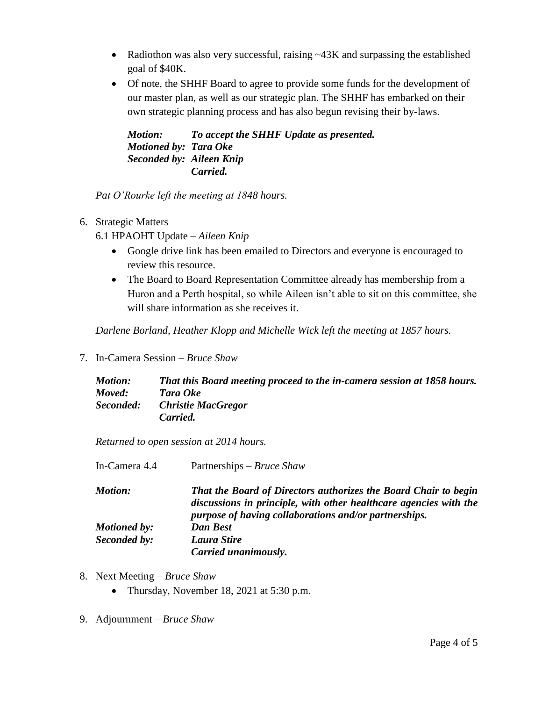- Radiothon was also very successful, raising ~43K and surpassing the established goal of \$40K.
- Of note, the SHHF Board to agree to provide some funds for the development of our master plan, as well as our strategic plan. The SHHF has embarked on their own strategic planning process and has also begun revising their by-laws.

*Motion: To accept the SHHF Update as presented. Motioned by: Tara Oke Seconded by: Aileen Knip Carried.*

*Pat O'Rourke left the meeting at 1848 hours.*

- 6. Strategic Matters
	- 6.1 HPAOHT Update *Aileen Knip*
		- Google drive link has been emailed to Directors and everyone is encouraged to review this resource.
		- The Board to Board Representation Committee already has membership from a Huron and a Perth hospital, so while Aileen isn't able to sit on this committee, she will share information as she receives it.

*Darlene Borland, Heather Klopp and Michelle Wick left the meeting at 1857 hours.*

7. In-Camera Session – *Bruce Shaw*

| <b>Motion:</b> | That this Board meeting proceed to the in-camera session at 1858 hours. |
|----------------|-------------------------------------------------------------------------|
| Moved:         | Tara Oke                                                                |
| Seconded:      | <b>Christie MacGregor</b>                                               |
|                | Carried.                                                                |

*Returned to open session at 2014 hours.*

| In-Camera 4.4       | Partnerships – <i>Bruce Shaw</i>                                                                                                                                                                     |
|---------------------|------------------------------------------------------------------------------------------------------------------------------------------------------------------------------------------------------|
| <b>Motion:</b>      | That the Board of Directors authorizes the Board Chair to begin<br>discussions in principle, with other healthcare agencies with the<br><i>purpose of having collaborations and/or partnerships.</i> |
| <b>Motioned by:</b> | <b>Dan Best</b>                                                                                                                                                                                      |
| Seconded by:        | Laura Stire                                                                                                                                                                                          |
|                     | Carried unanimously.                                                                                                                                                                                 |

- 8. Next Meeting *Bruce Shaw*
	- Thursday, November 18, 2021 at 5:30 p.m.
- 9. Adjournment *Bruce Shaw*